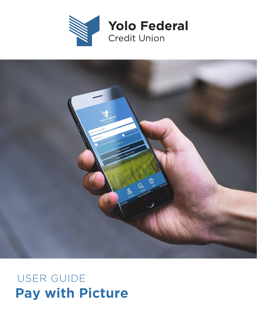



## **Pay with Picture** USER GUIDE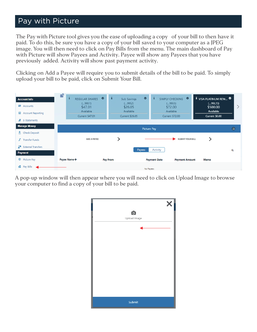## Pay with Picture

The Pay with Picture tool gives you the ease of uploading a copy of your bill to then have it paid. To do this, be sure you have a copy of your bill saved to your computer as a JPEG image. You will then need to click on Pay Bills from the menu. The main dashboard of Pay with Picture will show Payees and Activity. Payee will show any Payees that you have previously added. Activity will show past payment activity.

Clicking on Add a Payee will require you to submit details of the bill to be paid. To simply upload your bill to be paid, click on Submit Your Bill.

| <b>Account Info</b><br>Accounts<br>圎<br><b>Account Reporting</b><br>Æ<br>E-Statements | 旨<br>i<br>REGULAR SHARES<br>$($ 99S1)<br>\$47.01<br>Available<br>Current \$47.01 | i<br>$\bullet$  | ¢.<br>Sub Savings<br>(9952)<br>\$26.05<br>Available<br>Current \$26.05 | ÷<br>₩<br>SIMPLY CHECKING<br>(99S5)<br>\$72.00<br>Available<br>Current \$72.00 | <b>i</b> VISA PLATINUM REW<br>(99L23)<br>\$500.00<br>Available<br>Current \$0.00 |   |
|---------------------------------------------------------------------------------------|----------------------------------------------------------------------------------|-----------------|------------------------------------------------------------------------|--------------------------------------------------------------------------------|----------------------------------------------------------------------------------|---|
| <b>Manage Money</b><br>혼<br><b>Check Deposit</b>                                      |                                                                                  |                 | <b>Picture Pay</b>                                                     |                                                                                |                                                                                  | 8 |
| $\vec{s}$<br><b>Transfer Funds</b>                                                    | ADD A PAYEE                                                                      |                 |                                                                        | <b>SUBMIT YOUR BILL</b>                                                        |                                                                                  |   |
| 조속<br><b>External Transfers</b><br>Payment                                            |                                                                                  |                 | Payees                                                                 | Activity                                                                       |                                                                                  | Q |
| <sup>©</sup> Picture Pay                                                              | Payee Name 个                                                                     | <b>Pay From</b> |                                                                        | <b>Payment Date</b><br><b>Payment Amount</b>                                   | Memo                                                                             |   |
| ■ Pay Bills                                                                           |                                                                                  |                 | No Payees                                                              |                                                                                |                                                                                  |   |

A pop-up window will then appear where you will need to click on Upload Image to browse your computer to find a copy of your bill to be paid.

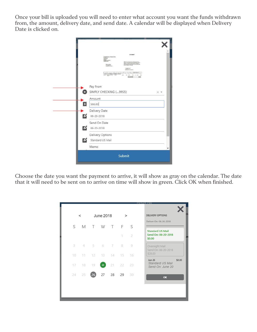Once your bill is uploaded you will need to enter what account you want the funds withdrawn from, the amount, delivery date, and send date. A calendar will be displayed when Delivery Date is clicked on.

| <b>STATEMENT</b><br><b>Noodland-Davis Teamin &amp; Peat</b><br>Combot Inc.<br>Mikilanda<br>Next CA 02775<br>ne museum they counts and buyines<br>seg : (198 Cowill Payments (ACA De<br>(48). Four late pay your fall restine by r<br>Ratest Junkkar<br>1811 Belgie Dr.<br>Woodbed, LA 8379<br>Account # 17734<br>LGA PR-2771<br>Historient Re-2011<br><b>Not dealer</b><br><b>Building Pre</b><br><b>PLAASE REIGHT</b> | 101.00                            |
|------------------------------------------------------------------------------------------------------------------------------------------------------------------------------------------------------------------------------------------------------------------------------------------------------------------------------------------------------------------------------------------------------------------------|-----------------------------------|
| Pay From                                                                                                                                                                                                                                                                                                                                                                                                               |                                   |
| SIMPLY CHECKING (99S5)                                                                                                                                                                                                                                                                                                                                                                                                 | $\times$ $\overline{\phantom{0}}$ |
| Amount                                                                                                                                                                                                                                                                                                                                                                                                                 |                                   |
| $\mathbf{E}$<br>\$66.00                                                                                                                                                                                                                                                                                                                                                                                                |                                   |
| Delivery Date                                                                                                                                                                                                                                                                                                                                                                                                          |                                   |
| И<br>06-26-2018                                                                                                                                                                                                                                                                                                                                                                                                        |                                   |
| Send On Date                                                                                                                                                                                                                                                                                                                                                                                                           |                                   |
| $\boldsymbol{\beta}$<br>06-20-2018                                                                                                                                                                                                                                                                                                                                                                                     |                                   |
| Delivery Options                                                                                                                                                                                                                                                                                                                                                                                                       |                                   |
| $\boldsymbol{\beta}$<br>Standard US Mail                                                                                                                                                                                                                                                                                                                                                                               |                                   |
| Memo                                                                                                                                                                                                                                                                                                                                                                                                                   |                                   |

Choose the date you want the payment to arrive, it will show as gray on the calendar. The date that it will need to be sent on to arrive on time will show in green. Click OK when finished.

|        | $\,<\,$   |             | <b>June 2018</b> |       | $\,>$     |    | <b>DELIVERY OPTIONS</b>                                         |
|--------|-----------|-------------|------------------|-------|-----------|----|-----------------------------------------------------------------|
|        |           |             |                  |       |           |    |                                                                 |
| S      |           | M T W T F   |                  |       |           | S  | Deliver On: 06-26-2018                                          |
|        |           |             |                  |       | 1         | 2  | <b>Standard US Mail</b><br>Send On: 06-20-2018<br>\$0.00        |
|        | 3 4 5 6 7 |             |                  |       | 8         | 9  | Overnight Mail<br>Send On: 06-20-2018                           |
| 10     | 11        | 12 13 14 15 |                  |       |           | 16 | \$28.00                                                         |
| $17 -$ | 18        | 19          | 20 <sub>2</sub>  |       | $21 - 22$ | 23 | \$0.00<br><b>Jun 26</b><br>Standard US Mail<br>Send On: June 20 |
| 24     | 25        | 26          |                  | 27 28 | 29        | 30 | OK                                                              |
|        |           |             |                  |       |           |    |                                                                 |
|        |           |             |                  |       |           |    |                                                                 |